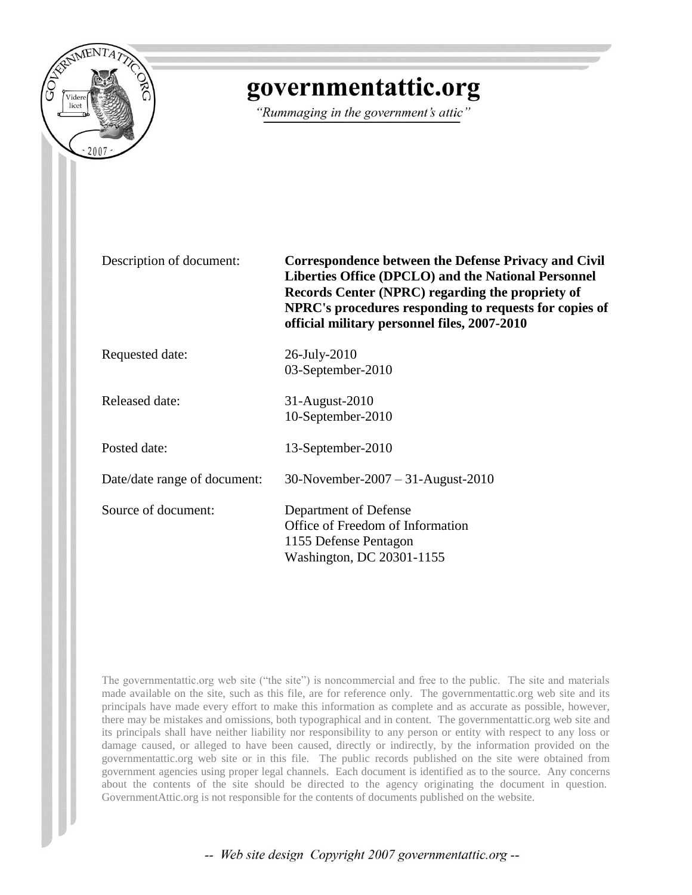

## governmentattic.org

"Rummaging in the government's attic"

Description of document: **Correspondence between the Defense Privacy and Civil Liberties Office (DPCLO) and the National Personnel Records Center (NPRC) regarding the propriety of NPRC's procedures responding to requests for copies of official military personnel files, 2007-2010**

Requested date: 26-July-2010

Released date: 31-August-2010

Posted date: 13-September-2010

Date/date range of document: 30-November-2007 – 31-August-2010

Source of document: Department of Defense Office of Freedom of Information 1155 Defense Pentagon

Washington, DC 20301-1155

03-September-2010

10-September-2010

The governmentattic.org web site ("the site") is noncommercial and free to the public. The site and materials made available on the site, such as this file, are for reference only. The governmentattic.org web site and its principals have made every effort to make this information as complete and as accurate as possible, however, there may be mistakes and omissions, both typographical and in content. The governmentattic.org web site and its principals shall have neither liability nor responsibility to any person or entity with respect to any loss or damage caused, or alleged to have been caused, directly or indirectly, by the information provided on the governmentattic.org web site or in this file. The public records published on the site were obtained from government agencies using proper legal channels. Each document is identified as to the source. Any concerns about the contents of the site should be directed to the agency originating the document in question. GovernmentAttic.org is not responsible for the contents of documents published on the website.

-- Web site design Copyright 2007 governmentattic.org --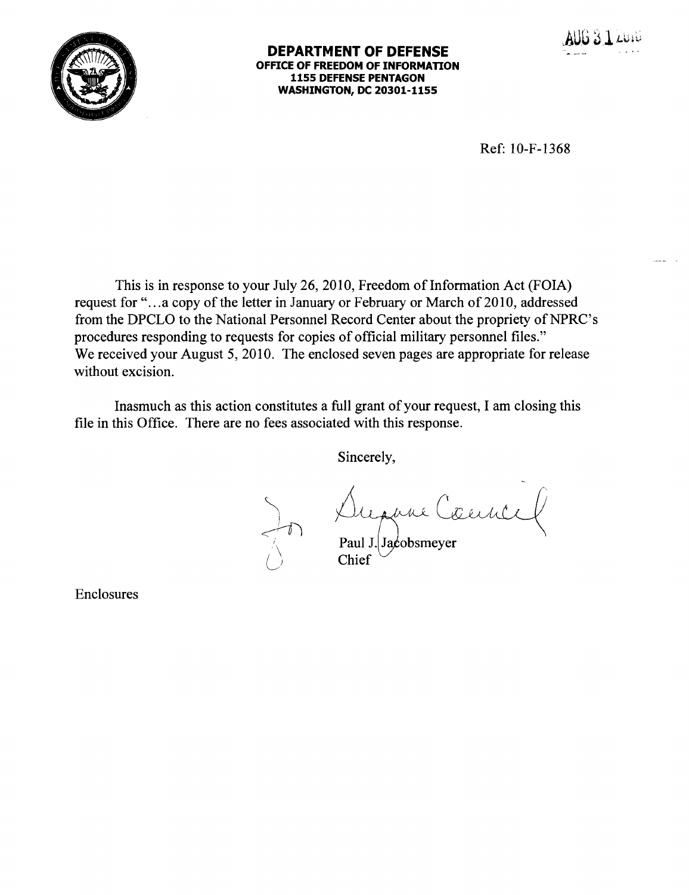



Ref: IO-F-1368

This is in response to your July 26, 2010, Freedom of Information Act (FOIA) request for "... a copy of the letter in January or February or March of 2010, addressed from the DPCLO to the National Personnel Record Center about the propriety of NPRC's procedures responding to requests for copies of official military personnel files." We received your August 5, 2010. The enclosed seven pages are appropriate for release without excision.

Inasmuch as this action constitutes a full grant of your request, I am closing this file in this Office. There are no fees associated with this response.

 $\setminus$ 

 $\rightarrow$ 

Sincerely,

 $\bigcirc$  Paul J. Jacobsmeyer

Enclosures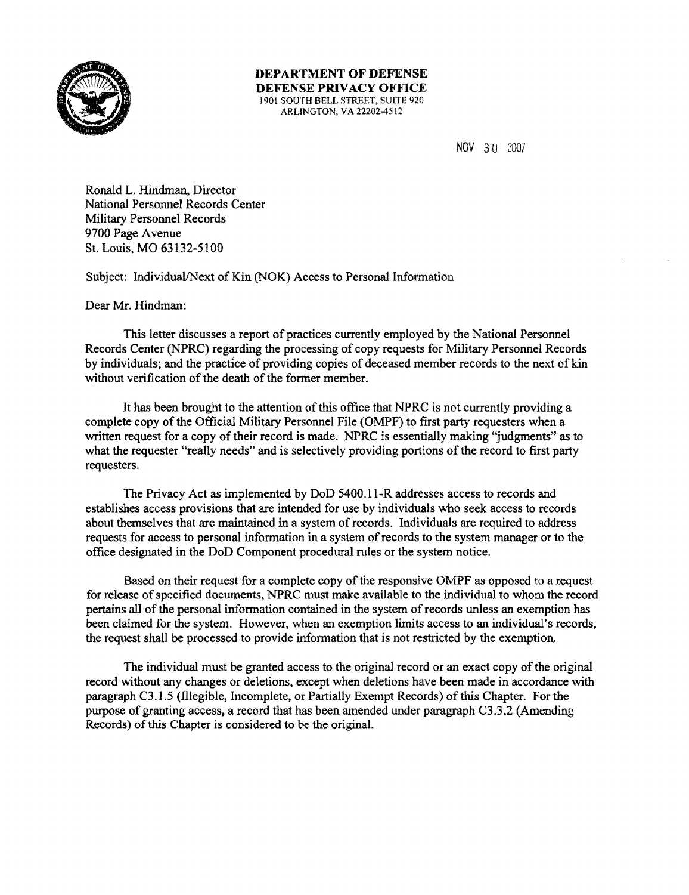

DEPARTMENT OF DEFENSE DEFENSE PRIVACY OFFICE 1901 SOUTH BELL STREET, SUITE 920 ARLINGTON, VA 22202-4512

NOV 3 a <sup>2007</sup>

Ronald L. Hindman, Director National Personnel Records Center Military Personnel Records 9700 Page Avenue St. Louis, MO 63132-5100

Subject: Individual/Next of Kin (NOK) Access to Personal Information

Dear Mr. Hindman:

This letter discusses a report of practices currently employed by the National Personnel Records Center (NPRC) regarding the processing of copy requests for MiJitary Personnel Records by individuals; and the practice of providing copies of deceased member records to the next of kin without verification of the death of the former member.

It has been brought to the attention of this office that NPRC is not currently providing a complete copy of the Official Military Personnel File (OMPF) to first party requesters when a written request for a copy of their record is made. NPRC is essentially making "judgments" as to what the requester "really needs" and is selectively providing portions of the record to first party requesters.

The Privacy Act as implemented by DoD 5400.ll-R addresses access to records and establishes access provisions that are intended for use by individuals who seek access to records about themselves that are maintained in a system of records. Individuals are required to address requests for access to personal information in a system of records to the system manager or to the office designated in the DoD Component procedural rules or the system notice.

Based on their request for a complete copy of the responsive OMPF as opposed to a request for release of specified docwnents, NPRC must make available to the individual to whom the record pertains all of the personal information contained in the system of records unless an exemption has been claimed for the system. However, when an exemption limits access to an individual's records, the request shall be processed to provide information that is not restricted by the exemption.

The individual must be granted access to the original record or an exact copy of the original record without any changes or deletions, except when deletions have been made in accordance with paragraph C3.l.5 (lllegible, Incomplete, or Partially Exempt Records) of this Chapter. For the pwpose of granting access, a record that has been amended under paragraph C3.3.2 (Amending Records) of this Chapter is considered to be the original.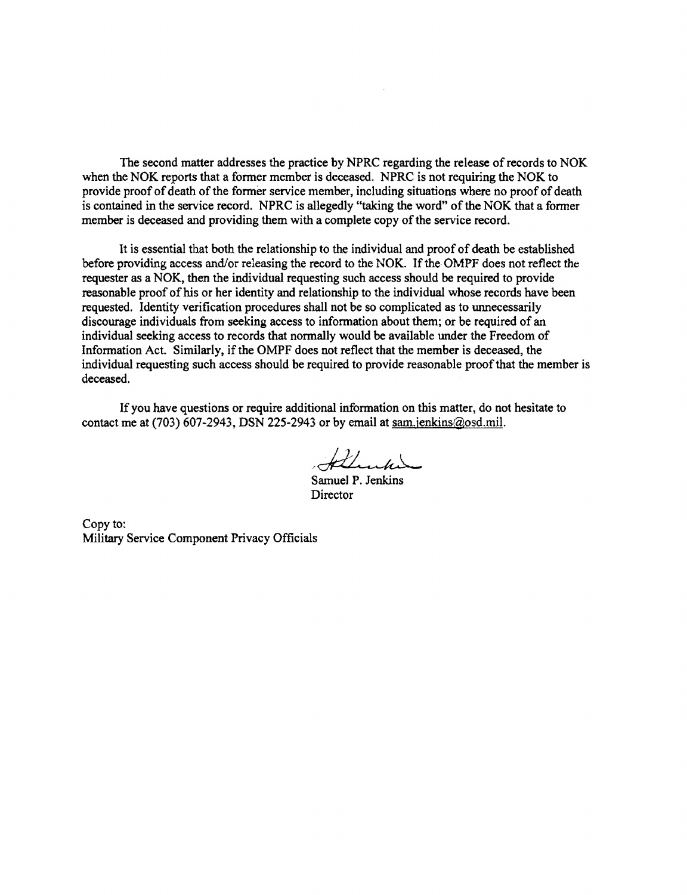The second matter addresses the practice by NPRC regarding the release of records to NOK when the NOK reports that a former member is deceased. NPRC is not requiring the NOK to provide proof of death of the former service member, including situations where no proof of death is contained in the service record. NPRC is allegedly "taking the word" of the NOK that a former member is deceased and providing them with a complete copy of the service record.

It is essential that both the relationship to the individual and proof of death be established before providing access and/or releasing the record to the NOK. If the OMPF does not reflect the requester as a NOK, then the individual requesting such access should be required to provide reasonable proof of his or her identity and relationship to the individual whose records have been requested. Identity verification procedures shall not be so complicated as to unnecessarily discourage individuals from seeking access to information about them; or be required of an individual seeking access to records that normally would be available under the Freedom of Information Act. Similarly, if the OMPF does not reflect that the member is deceased, the individual requesting such access should be required to provide reasonable proof that the member is deceased.

If you have questions or require additional information on this matter, do not hesitate to contact me at  $(703)$  607-2943, DSN 225-2943 or by email at sam.jenkins $@$ osd.mil.

Allenhine

Samuel P. Jenkins **Director** 

Copy to: Military Service Component Privacy Officials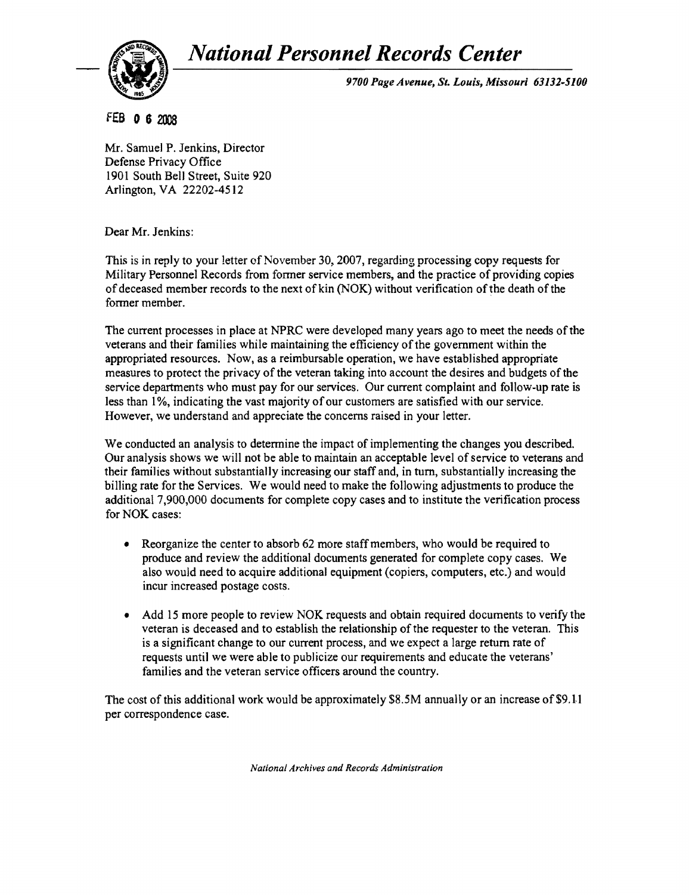*National Personnel Records Center* 



*9700 Page Avenue, St. Louis, Missouri 63131-5100* 

FEB 0 6 2008

Mr. Samuel P. Jenkins, Director Defense Privacy Office 1901 South Bell Street, Suite 920 Arlington, VA 22202-4512

Dear Mr. Jenkins:

This is in reply to your letter of November 30, 2007, regarding processing copy requests for Military Personnel Records from former service members, and the practice of providing copies of deceased member records to the next of kin (NOK) without verification ofthe death of the former member.

The current processes in place at NPRC were developed many years ago to meet the needs of the veterans and their families while maintaining the efficiency of the government within the appropriated resources. Now, as a reimbursable operation, we have established appropriate measures to protect the privacy of the veteran taking into account the desires and budgets of the service departments who must pay for our services. Our current complaint and follow-up rate is less than 1%, indicating the vast majority of our customers are satisfied with our service. However, we understand and appreciate the concerns raised in your letter.

We conducted an analysis to determine the impact of implementing the changes you described. Our analysis shows we will not be able to maintain an acceptable level of service to veterans and their families without substantially increasing our staff and, in turn, substantially increasing the billing rate for the Services. We would need to make the following adjustments to produce the additional 7,900,000 documents for complete copy cases and to institute the verification process for NOK cases:

- Reorganize the center to absorb 62 more staff members, who would be required to produce and review the additional documents generated for complete copy cases. We also would need to acquire additional equipment (copiers, computers, etc.) and would incur increased postage costs.
- Add 15 more people to review NOK requests and obtain required documents to verify the veteran is deceased and to establish the relationship of the requester to the veteran. This is a significant change to our current process, and we expect a large return rate of requests until we were able to publicize our requirements and educate the veterans' families and the veteran service officers around the country.

The cost of this additional work would be approximately \$8.5M annually or an increase of \$9.11 per correspondence case.

*National Archives and Records Administration*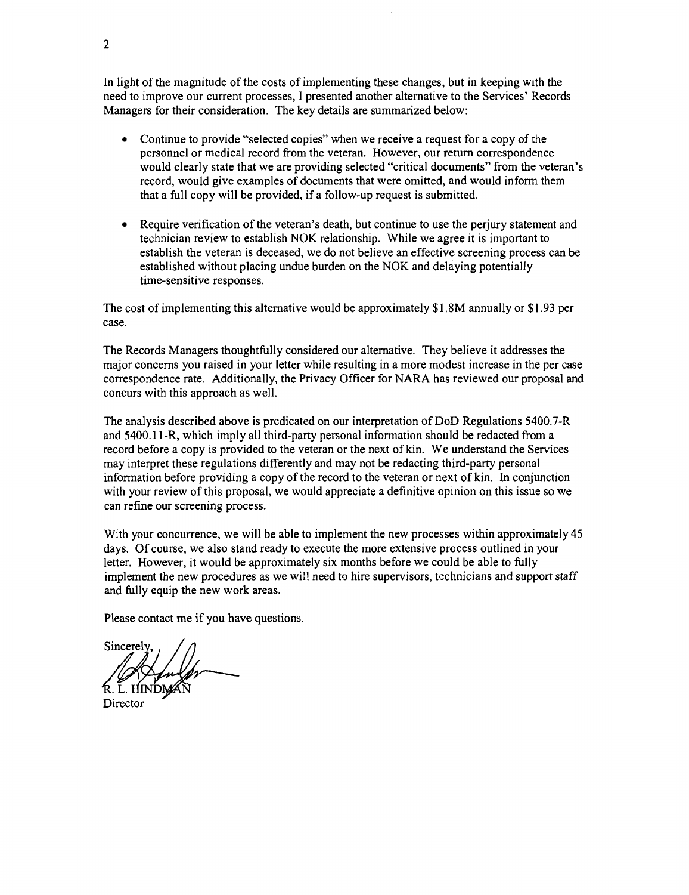In light of the magnitude of the costs of implementing these changes, but in keeping with the need to improve our current processes, I presented another alternative to the Services' Records Managers for their consideration. The key details are summarized below:

- Continue to provide "selected copies" when we receive a request for a copy of the personnel or medical record from the veteran. However, our return correspondence would clearly state that we are providing selected "critical documents" from the veteran's record, would give examples of documents that were omitted, and would inform them that a full copy will be provided, if a follow-up request is submitted.
- Require verification of the veteran's death, but continue to use the perjury statement and technician review to establish NOK relationship. While we agree it is important to establish the veteran is deceased, we do not believe an effective screening process can be established without placing undue burden on the NOK and delaying potentially time-sensitive responses.

The cost of implementing this alternative would be approximately \$1.8M annually or \$1.93 per case.

The Records Managers thoughtfully considered our alternative. They believe it addresses the major concerns you raised in your letter while resulting in a more modest increase in the per case correspondence rate. Additionally, the Privacy Officer for NARA has reviewed our proposal and concurs with this approach as well.

The analysis described above is predicated on our interpretation of DoD Regulations 5400.7-R and 5400.11-R, which imply all third-party personal information should be redacted from a record before a copy is provided to the veteran or the next of kin. We understand the Services may interpret these regulations differently and may not be redacting third-party personal information before providing a copy of the record to the veteran or next of kin. In conjunction with your review of this proposal, we would appreciate a definitive opinion on this issue so we can refine our screening process.

With your concurrence, we will be able to implement the new processes within approximately 45 days. Of course, we also stand ready to execute the more extensive process outlined in your letter. However, it would be approximately six months before we could be able to fully implement the new procedures as we will need to hire supervisors, technicians and support staff and fully equip the new work areas.

Please contact me if you have questions.

Sincerely,  $\frac{1}{2}$ 

Director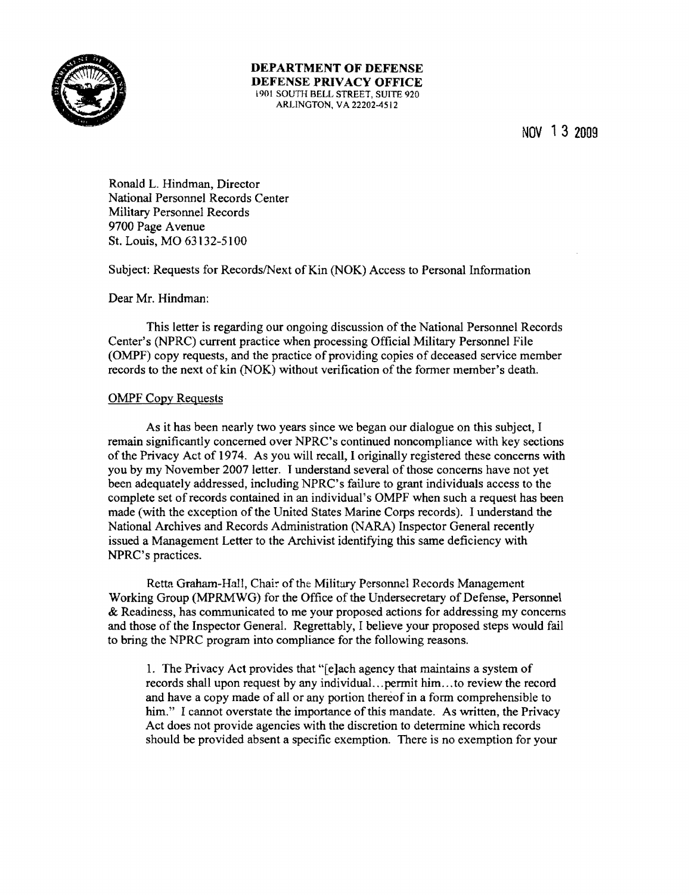

DEPARTMENT OF DEFENSE DEFENSE PRIVACY OFFICE 1901 SOUTH BELL STREET, SUITE 920 ARLINGTON, VA 22202-4512

NOV 1 3 2009

Ronald L. Hindman, Director National Personnel Records Center Military Personnel Records 9700 Page Avenue St. Louis, MO 63132~51 00

Subject: Requests for Records/Next of Kin (NOK) Access to Personal Information

Dear Mr. Hindman:

This letter is regarding our ongoing discussion of the National Personnel Records Center's (NPRC) current practice when processing Official Military Personnel File (OMPF) copy requests, and the practice of providing copies of deceased service member records to the next of kin (NOK) without verification of the former member's death.

## OMPF Copy Requests

As it has been nearly two years since we began our dialogue on this subject, I remain significantly concerned over NPRC's continued noncompliance with key sections of the Privacy Act of 1974. As you will recall, I originally registered these concerns with you by my November 2007 letter. I understand several of those concerns have not yet been adequately addressed, including NPRC's failure to grant individuals access to the complete set of records contained in an individual's OMPF when such a request has been made (with the exception of the United States Marine Corps records). I understand the National Archives and Records Administration (NARA) Inspector General recently issued a Management Letter to the Archivist identifying this same deficiency with NPRC's practices.

Retta Graham-Hall, Chair of the Military Personnel Records Management Working Group (MPRMWG) for the Office of the Undersecretary of Defense, Personnel & Readiness, has communicated to me your proposed actions for addressing my concerns and those of the Inspector GeneraL Regrettably, I believe your proposed steps would fail to bring the NPRC program into compliance for the following reasons.

1. The Privacy Act provides that "[e]ach agency that maintains a system of records shall upon request by any individual ... permit him ... to review the record and have a copy made of all or any portion thereof in a form comprehensible to him." I cannot overstate the importance of this mandate. As written, the Privacy Act does not provide agencies with the discretion to determine which records should be provided absent a specific exemption. There is no exemption for your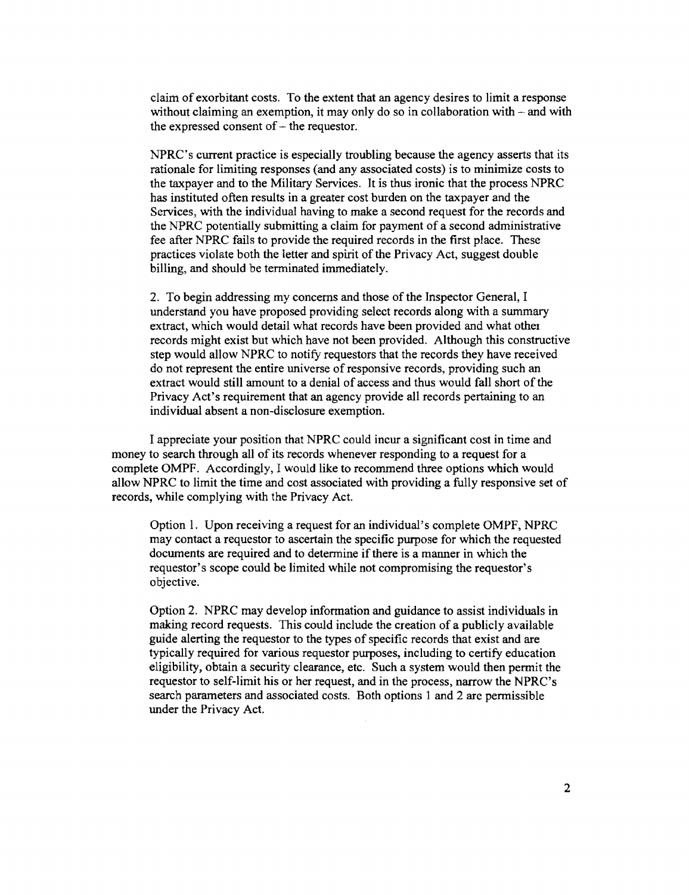claim of exorbitant costs. To the extent that an agency desires to limit a response without claiming an exemption, it may only do so in collaboration with - and with the expressed consent of  $-$  the requestor.

NPRC's current practice is especially troubling because the agency asserts that its rationale for limiting responses (and any associated costs) is to minimize costs to the taxpayer and to the Military Services. It is thus ironic that the process NPRC has instituted often results in a greater cost burden on the taxpayer and the Services, with the individual having to make a second request for the records and the NPRC potentially submitting a claim for payment of a second administrative fee after NPRC fails to provide the required records in the first place. These practices violate both the letter and spirit of the Privacy Act, suggest double billing, and should be terminated immediately.

2. To begin addressing my concerns and those of the Inspector General, I understand you have proposed providing select records along with a summary extract, which would detail what records have been provided and what other records might exist but which have not been provided. Although this constructive step would allow NPRC to notify requestors that the records they have received do not represent the entire universe of responsive records, providing such an extract would still amount to a denial of access and thus would fall short of the Privacy Act's requirement that an agency provide all records pertaining to an individual absent a non-disclosure exemption.

I appreciate your position that NPRC could incur a significant cost in time and money to search through all of its records whenever responding to a request for a complete OMPF. Accordingly, I would like to recommend three options which would allow NPRC to limit the time and cost associated with providing a fully responsive set of records, while complying with the Privacy Act.

Option 1. Upon receiving a request for an individual's complete OMPF, NPRC may contact a requestor to ascertain the specific purpose for which the requested documents are required and to determine if there is a manner in which the requestor's scope could be limited while not compromising the requestor's objective.

Option 2. NPRC may develop information and guidance to assist individuals in making record requests. This could include the creation of a publicly available guide alerting the requestor to the types of specific records that exist and are typically required for various requestor purposes, including to certify education eligibility, obtain a security clearance, etc. Such a system would then permit the requestor to self-limit his or her request, and in the process, narrow the NPRC's search parameters and associated costs. Both options 1 and 2 are permissible under the Privacy Act.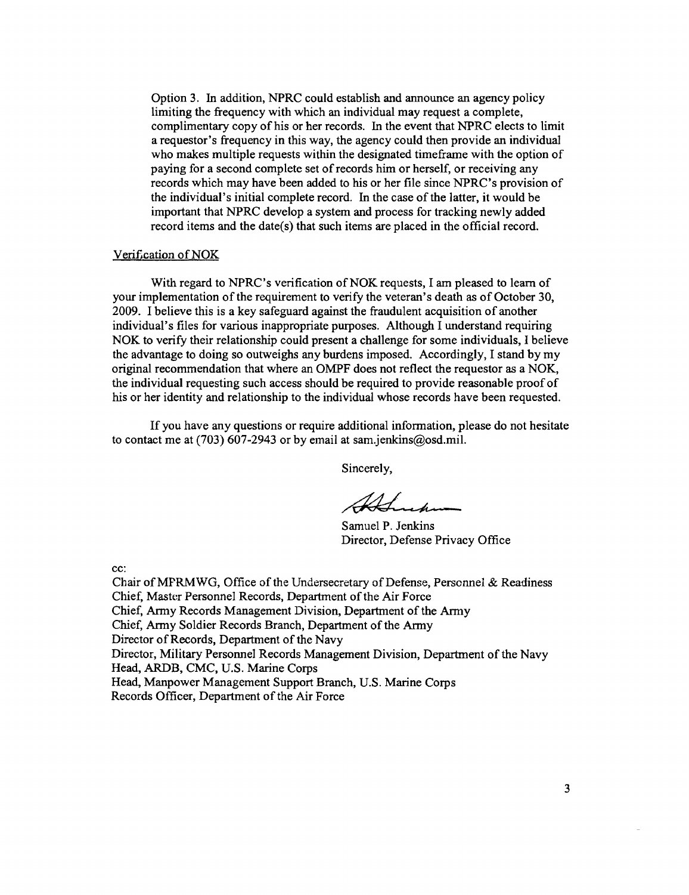Option 3. In addition, NPRC could establish and announce an agency policy limiting the frequency with which an individual may request a complete, complimentary copy of his or her records. In the event that NPRC elects to limit a requestor's frequency in this way, the agency could then provide an individual who makes multiple requests within the designated time frame with the option of paying for a second complete set of records him or herself, or receiving any records which may have been added to his or her file since NPRC's provision of the individual's initial complete record. In the case of the latter, it would be important that NPRC develop a system and process for tracking newly added record items and the date(s) that such items are placed in the official record.

## Veri£cation ofNOK

With regard to NPRC's verification of NOK requests, I am pleased to learn of your implementation of the requirement to verify the veteran's death as of October 30, 2009. I believe this is a key safeguard against the fraudulent acquisition of another individual's files for various inappropriate purposes. Although I understand requiring NOK to verify their relationship could present a challenge for some individuals, I believe the advantage to doing so outweighs any burdens imposed. Accordingly, I stand by my original recommendation that where an OMPF does not reflect the requestor as a NOK, the individual requesting such access should be required to provide reasonable proof of his or her identity and relationship to the individual whose records have been requested.

If you have any questions or require additional information, please do not hesitate to contact me at  $(703)$  607-2943 or by email at sam.jenkins@osd.mil.

Sincerely,

Samuel P. Jenkins Director, Defense Privacy Office

cc:

Chair of MPRMWG, Office of the Undersecretary of Defense, Personnel & Readiness Chief, Master Personnel Records, Department of the Air Force Chief, Army Records Management Division, Department of the Army Chief, Army Soldier Records Branch, Department of the Army Director of Records, Department of the Navy Director, Military Personnel Records Management Division, Department of the Navy Head, ARDB, CMC, U.S. Marine Corps Head, Manpower Management Support Branch, U.S. Marine Corps Records Officer, Department of the Air Force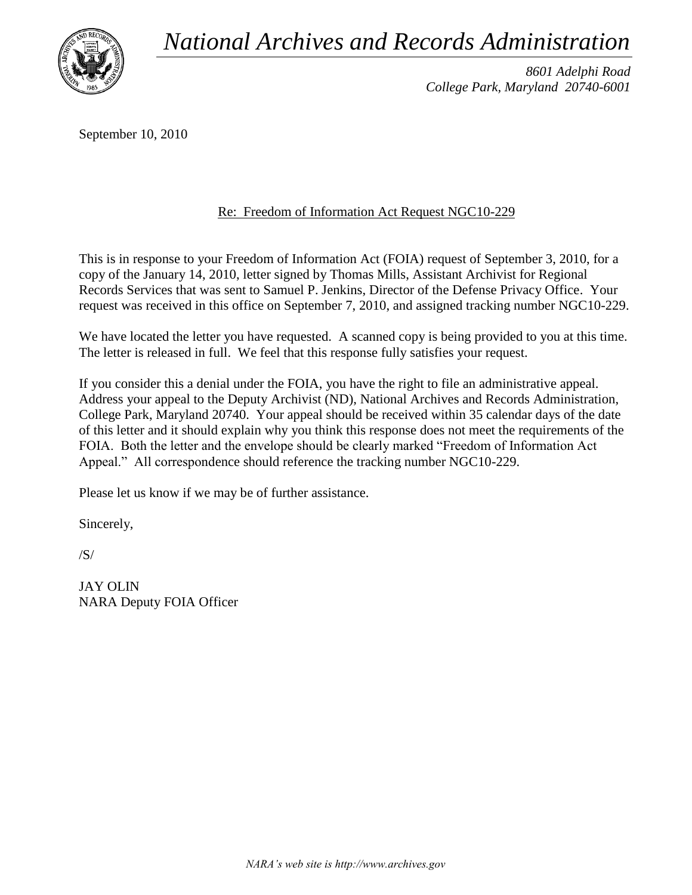*National Archives and Records Administration*



*8601 Adelphi Road College Park, Maryland 20740-6001*

September 10, 2010

## Re: Freedom of Information Act Request NGC10-229

This is in response to your Freedom of Information Act (FOIA) request of September 3, 2010, for a copy of the January 14, 2010, letter signed by Thomas Mills, Assistant Archivist for Regional Records Services that was sent to Samuel P. Jenkins, Director of the Defense Privacy Office. Your request was received in this office on September 7, 2010, and assigned tracking number NGC10-229.

We have located the letter you have requested. A scanned copy is being provided to you at this time. The letter is released in full. We feel that this response fully satisfies your request.

If you consider this a denial under the FOIA, you have the right to file an administrative appeal. Address your appeal to the Deputy Archivist (ND), National Archives and Records Administration, College Park, Maryland 20740. Your appeal should be received within 35 calendar days of the date of this letter and it should explain why you think this response does not meet the requirements of the FOIA. Both the letter and the envelope should be clearly marked "Freedom of Information Act Appeal." All correspondence should reference the tracking number NGC10-229.

Please let us know if we may be of further assistance.

Sincerely,

/S/

JAY OLIN NARA Deputy FOIA Officer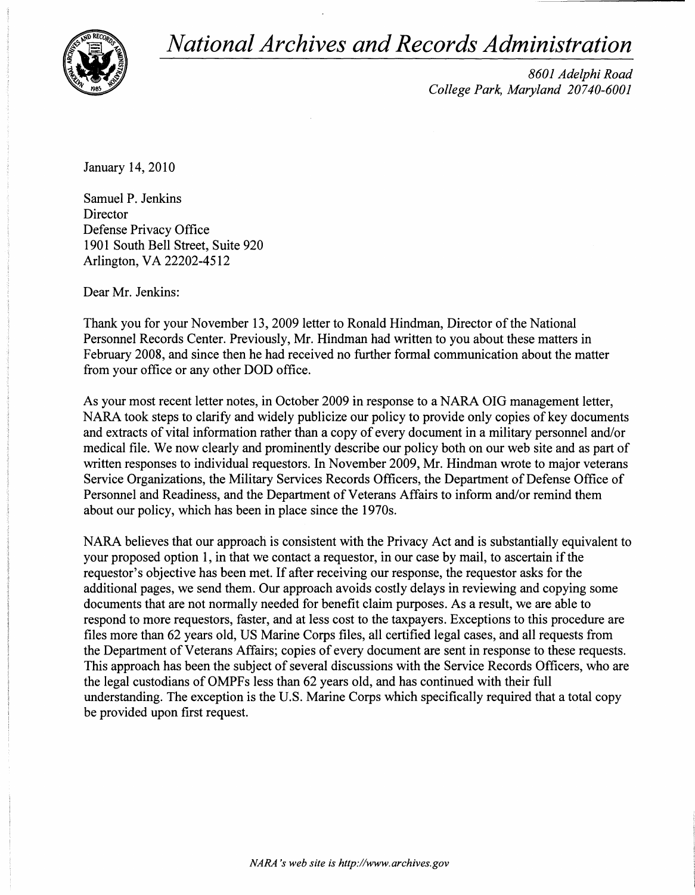*National Archives and Records Administration* 



*8601 Adelphi Road College Park, Maryland 20740-6001* 

January 14,2010

Samuel P. Jenkins **Director** Defense Privacy Office 1901 South Bell Street, Suite 920 Arlington, VA 22202-4512

Dear Mr. Jenkins:

Thank you for your November 13, 2009 letter to Ronald Hindman, Director of the National Personnel Records Center. Previously, Mr. Hindman had written to you about these matters in February 2008, and since then he had received no further formal communication about the matter from your office or any other DOD office.

As your most recent letter notes, in October 2009 in response to a NARA OIG management letter, NARA took steps to clarify and widely publicize our policy to provide only copies of key documents and extracts of vital information rather than a copy of every document in a military personnel and/or medical file. We now clearly and prominently describe our policy both on our web site and as part of written responses to individual requestors. In November 2009, Mr. Hindman wrote to major veterans Service Organizations, the Military Services Records Officers, the Department of Defense Office of Personnel and Readiness, and the Department of Veterans Affairs to inform and/or remind them about our policy, which has been in place since the 1970s.

NARA believes that our approach is consistent with the Privacy Act and is substantially equivalent to your proposed option 1, in that we contact a requestor, in our case by mail, to ascertain if the requestor's objective has been met. If after receiving our response, the requestor asks for the additional pages, we send them. Our approach avoids costly delays in reviewing and copying some documents that are not normally needed for benefit claim purposes. As a result, we are able to respond to more requestors, faster, and at less cost to the taxpayers. Exceptions to this procedure are files more than 62 years old, US Marine Corps files, all certified legal cases, and all requests from the Department of Veterans Affairs; copies of every document are sent in response to these requests. This approach has been the subject of several discussions with the Service Records Officers, who are the legal custodians of OMPFs less than 62 years old, and has continued with their full understanding. The exception is the U.S. Marine Corps which specifically required that a total copy be provided upon first request.